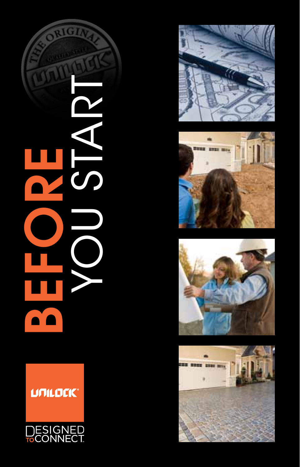

# **UNILOCK®**









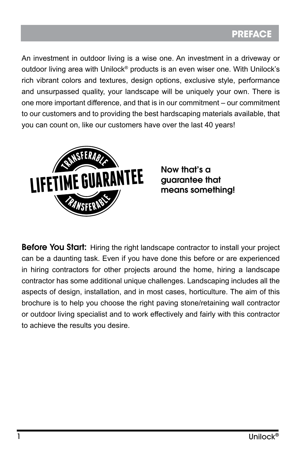## **PREFACE**

An investment in outdoor living is a wise one. An investment in a driveway or outdoor living area with Unilock® products is an even wiser one. With Unilock's rich vibrant colors and textures, design options, exclusive style, performance and unsurpassed quality, your landscape will be uniquely your own. There is one more important difference, and that is in our commitment – our commitment to our customers and to providing the best hardscaping materials available, that you can count on, like our customers have over the last 40 years!



guarantee that means something!

Before You Start: Hiring the right landscape contractor to install your project can be a daunting task. Even if you have done this before or are experienced in hiring contractors for other projects around the home, hiring a landscape contractor has some additional unique challenges. Landscaping includes all the aspects of design, installation, and in most cases, horticulture. The aim of this brochure is to help you choose the right paving stone/retaining wall contractor or outdoor living specialist and to work effectively and fairly with this contractor to achieve the results you desire.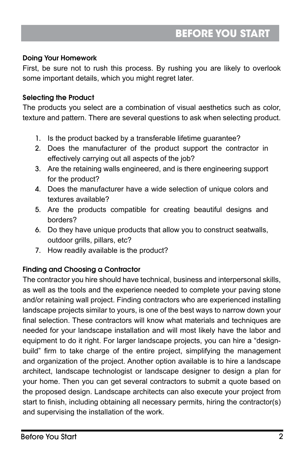#### Doing Your Homework

First, be sure not to rush this process. By rushing you are likely to overlook some important details, which you might regret later.

### Selecting the Product

The products you select are a combination of visual aesthetics such as color, texture and pattern. There are several questions to ask when selecting product.

- 1. Is the product backed by a transferable lifetime guarantee?
- 2. Does the manufacturer of the product support the contractor in effectively carrying out all aspects of the job?
- 3. Are the retaining walls engineered, and is there engineering support for the product?
- 4. Does the manufacturer have a wide selection of unique colors and textures available?
- 5. Are the products compatible for creating beautiful designs and borders?
- 6. Do they have unique products that allow you to construct seatwalls, outdoor grills, pillars, etc?
- 7. How readily available is the product?

## Finding and Choosing a Contractor

The contractor you hire should have technical, business and interpersonal skills, as well as the tools and the experience needed to complete your paving stone and/or retaining wall project. Finding contractors who are experienced installing landscape projects similar to yours, is one of the best ways to narrow down your final selection. These contractors will know what materials and techniques are needed for your landscape installation and will most likely have the labor and equipment to do it right. For larger landscape projects, you can hire a "designbuild" firm to take charge of the entire project, simplifying the management and organization of the project. Another option available is to hire a landscape architect, landscape technologist or landscape designer to design a plan for your home. Then you can get several contractors to submit a quote based on the proposed design. Landscape architects can also execute your project from start to finish, including obtaining all necessary permits, hiring the contractor(s) and supervising the installation of the work.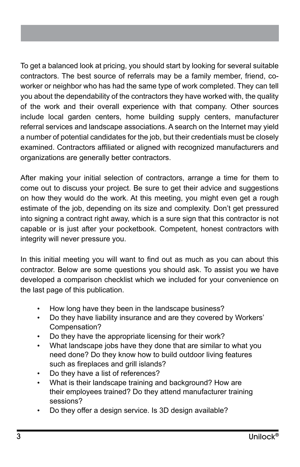To get a balanced look at pricing, you should start by looking for several suitable contractors. The best source of referrals may be a family member, friend, coworker or neighbor who has had the same type of work completed. They can tell you about the dependability of the contractors they have worked with, the quality of the work and their overall experience with that company. Other sources include local garden centers, home building supply centers, manufacturer referral services and landscape associations. A search on the Internet may yield a number of potential candidates for the job, but their credentials must be closely examined. Contractors affiliated or aligned with recognized manufacturers and organizations are generally better contractors.

After making your initial selection of contractors, arrange a time for them to come out to discuss your project. Be sure to get their advice and suggestions on how they would do the work. At this meeting, you might even get a rough estimate of the job, depending on its size and complexity. Don't get pressured into signing a contract right away, which is a sure sign that this contractor is not capable or is just after your pocketbook. Competent, honest contractors with integrity will never pressure you.

In this initial meeting you will want to find out as much as you can about this contractor. Below are some questions you should ask. To assist you we have developed a comparison checklist which we included for your convenience on the last page of this publication.

- How long have they been in the landscape business?
- Do they have liability insurance and are they covered by Workers' Compensation?
- Do they have the appropriate licensing for their work?
- What landscape jobs have they done that are similar to what you need done? Do they know how to build outdoor living features such as fireplaces and grill islands?
- Do they have a list of references?
- What is their landscape training and background? How are their employees trained? Do they attend manufacturer training sessions?
- Do they offer a design service. Is 3D design available?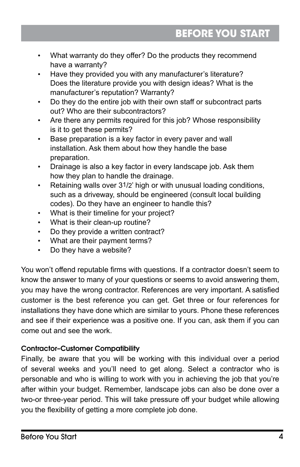- What warranty do they offer? Do the products they recommend have a warranty?
- Have they provided you with any manufacturer's literature? Does the literature provide you with design ideas? What is the manufacturer's reputation? Warranty?
- • Do they do the entire job with their own staff or subcontract parts out? Who are their subcontractors?
- Are there any permits required for this job? Whose responsibility is it to get these permits?
- • Base preparation is a key factor in every paver and wall installation. Ask them about how they handle the base preparation.
- Drainage is also a key factor in every landscape job. Ask them how they plan to handle the drainage.
- Retaining walls over 31/2' high or with unusual loading conditions, such as a driveway, should be engineered (consult local building codes). Do they have an engineer to handle this?
- • What is their timeline for your project?
- What is their clean-up routine?
- Do they provide a written contract?
- What are their payment terms?
- Do they have a website?

You won't offend reputable firms with questions. If a contractor doesn't seem to know the answer to many of your questions or seems to avoid answering them, you may have the wrong contractor. References are very important. A satisfied customer is the best reference you can get. Get three or four references for installations they have done which are similar to yours. Phone these references and see if their experience was a positive one. If you can, ask them if you can come out and see the work.

## Contractor–Customer Compatibility

Finally, be aware that you will be working with this individual over a period of several weeks and you'll need to get along. Select a contractor who is personable and who is willing to work with you in achieving the job that you're after within your budget. Remember, landscape jobs can also be done over a two-or three-year period. This will take pressure off your budget while allowing you the flexibility of getting a more complete job done.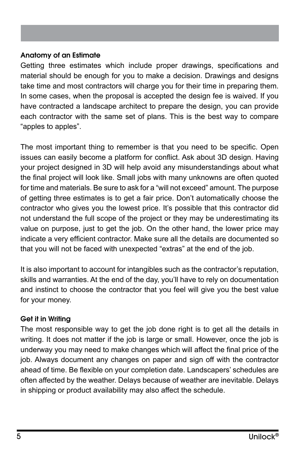#### Anatomy of an Estimate

Getting three estimates which include proper drawings, specifications and material should be enough for you to make a decision. Drawings and designs take time and most contractors will charge you for their time in preparing them. In some cases, when the proposal is accepted the design fee is waived. If you have contracted a landscape architect to prepare the design, you can provide each contractor with the same set of plans. This is the best way to compare "apples to apples".

The most important thing to remember is that you need to be specific. Open issues can easily become a platform for conflict. Ask about 3D design. Having your project designed in 3D will help avoid any misunderstandings about what the final project will look like. Small jobs with many unknowns are often quoted for time and materials. Be sure to ask for a "will not exceed" amount. The purpose of getting three estimates is to get a fair price. Don't automatically choose the contractor who gives you the lowest price. It's possible that this contractor did not understand the full scope of the project or they may be underestimating its value on purpose, just to get the job. On the other hand, the lower price may indicate a very efficient contractor. Make sure all the details are documented so that you will not be faced with unexpected "extras" at the end of the job.

It is also important to account for intangibles such as the contractor's reputation, skills and warranties. At the end of the day, you'll have to rely on documentation and instinct to choose the contractor that you feel will give you the best value for your money.

#### Get it in Writing

The most responsible way to get the job done right is to get all the details in writing. It does not matter if the job is large or small. However, once the job is underway you may need to make changes which will affect the final price of the job. Always document any changes on paper and sign off with the contractor ahead of time. Be flexible on your completion date. Landscapers' schedules are often affected by the weather. Delays because of weather are inevitable. Delays in shipping or product availability may also affect the schedule.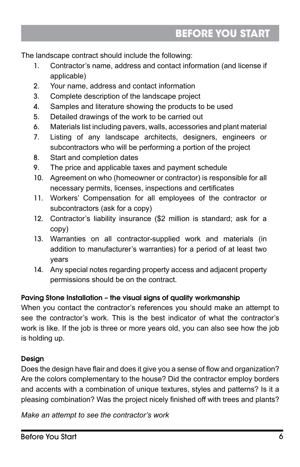The landscape contract should include the following:

- 1. Contractor's name, address and contact information (and license if applicable)
- 2. Your name, address and contact information
- 3. Complete description of the landscape project
- 4. Samples and literature showing the products to be used
- 5. Detailed drawings of the work to be carried out
- 6. Materials list including pavers, walls, accessories and plant material
- 7. Listing of any landscape architects, designers, engineers or subcontractors who will be performing a portion of the project
- 8. Start and completion dates
- 9. The price and applicable taxes and payment schedule
- 10. Agreement on who (homeowner or contractor) is responsible for all necessary permits, licenses, inspections and certificates
- 11. Workers' Compensation for all employees of the contractor or subcontractors (ask for a copy)
- 12. Contractor's liability insurance (\$2 million is standard; ask for a copy)
- 13. Warranties on all contractor-supplied work and materials (in addition to manufacturer's warranties) for a period of at least two years
- 14. Any special notes regarding property access and adjacent property permissions should be on the contract.

## Paving Stone Installation – the visual signs of quality workmanship

When you contact the contractor's references you should make an attempt to see the contractor's work. This is the best indicator of what the contractor's work is like. If the job is three or more years old, you can also see how the job is holding up.

## **Desian**

Does the design have flair and does it give you a sense of flow and organization? Are the colors complementary to the house? Did the contractor employ borders and accents with a combination of unique textures, styles and patterns? Is it a pleasing combination? Was the project nicely finished off with trees and plants?

*Make an attempt to see the contractor's work*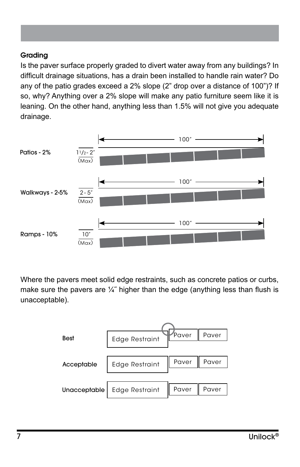#### Grading

Is the paver surface properly graded to divert water away from any buildings? In difficult drainage situations, has a drain been installed to handle rain water? Do any of the patio grades exceed a 2% slope (2" drop over a distance of 100")? If so, why? Anything over a 2% slope will make any patio furniture seem like it is leaning. On the other hand, anything less than 1.5% will not give you adequate drainage.



Where the pavers meet solid edge restraints, such as concrete patios or curbs, make sure the pavers are  $\frac{1}{4}$ " higher than the edge (anything less than flush is unacceptable).

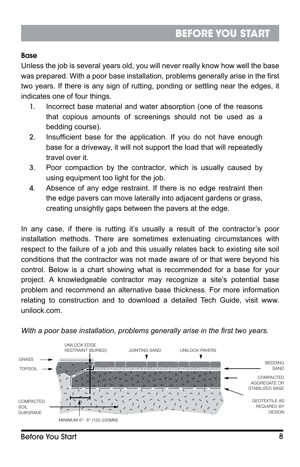#### **Base**

Unless the job is several years old, you will never really know how well the base was prepared. With a poor base installation, problems generally arise in the first two years. If there is any sign of rutting, ponding or settling near the edges, it indicates one of four things.

- 1. Incorrect base material and water absorption (one of the reasons that copious amounts of screenings should not be used as a bedding course).
- 2. Insufficient base for the application. If you do not have enough base for a driveway, it will not support the load that will repeatedly travel over it.
- 3. Poor compaction by the contractor, which is usually caused by using equipment too light for the job.
- 4. Absence of any edge restraint. If there is no edge restraint then the edge pavers can move laterally into adjacent gardens or grass, creating unsightly gaps between the pavers at the edge.

In any case, if there is rutting it's usually a result of the contractor's poor installation methods. There are sometimes extenuating circumstances with respect to the failure of a job and this usually relates back to existing site soil conditions that the contractor was not made aware of or that were beyond his control. Below is a chart showing what is recommended for a base for your project. A knowledgeable contractor may recognize a site's potential base problem and recommend an alternative base thickness. For more information relating to construction and to download a detailed Tech Guide, visit www. unilock.com.



*With a poor base installation, problems generally arise in the first two years.*

#### Before You Start 8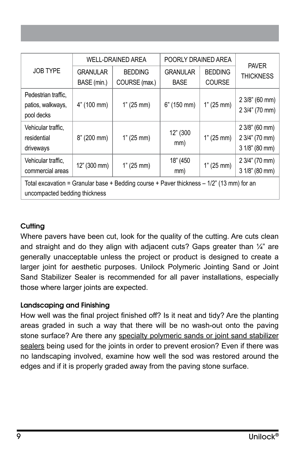|                                                                                                                              | <b>WELL-DRAINED AREA</b> |                | POORLY DRAINED AREA |                |                                                      |
|------------------------------------------------------------------------------------------------------------------------------|--------------------------|----------------|---------------------|----------------|------------------------------------------------------|
| JOB TYPE                                                                                                                     | <b>GRANULAR</b>          | <b>BEDDING</b> | <b>GRANULAR</b>     | <b>BEDDING</b> | <b>PAVER</b><br><b>THICKNESS</b>                     |
|                                                                                                                              | BASE (min.)              | COURSE (max.)  | <b>BASE</b>         | <b>COURSE</b>  |                                                      |
| Pedestrian traffic,<br>patios, walkways,<br>pool decks                                                                       | 4" (100 mm)              | 1" (25 mm)     | 6" (150 mm)         | 1" (25 mm)     | $23/8$ " (60 mm)<br>2 3/4" (70 mm)                   |
| Vehicular traffic,<br>residential<br>driveways                                                                               | 8" (200 mm)              | 1" (25 mm)     | 12" (300<br>mm)     | 1" (25 mm)     | 2 3/8" (60 mm)<br>2 3/4" (70 mm)<br>$31/8$ " (80 mm) |
| Vehicular traffic,<br>commercial areas                                                                                       | 12" (300 mm)             | 1" (25 mm)     | 18" (450<br>mm)     | 1" (25 mm)     | 2 3/4" (70 mm)<br>3 1/8" (80 mm)                     |
| Total excavation = Granular base + Bedding course + Paver thickness $-1/2$ " (13 mm) for an<br>uncompacted bedding thickness |                          |                |                     |                |                                                      |

## **Cutting**

Where pavers have been cut, look for the quality of the cutting. Are cuts clean and straight and do they align with adjacent cuts? Gaps greater than 1/4" are generally unacceptable unless the project or product is designed to create a larger joint for aesthetic purposes. Unilock Polymeric Jointing Sand or Joint Sand Stabilizer Sealer is recommended for all paver installations, especially those where larger joints are expected.

#### Landscaping and Finishing

How well was the final project finished off? Is it neat and tidy? Are the planting areas graded in such a way that there will be no wash-out onto the paving stone surface? Are there any specialty polymeric sands or joint sand stabilizer sealers being used for the joints in order to prevent erosion? Even if there was no landscaping involved, examine how well the sod was restored around the edges and if it is properly graded away from the paving stone surface.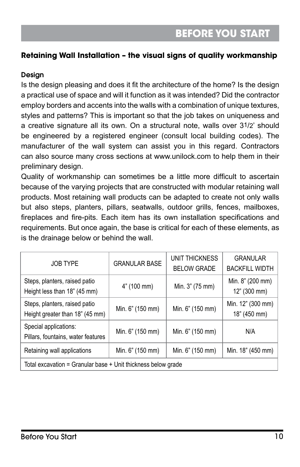## **Retaining Wall Installation – the visual signs of quality workmanship**

#### **Design**

Is the design pleasing and does it fit the architecture of the home? Is the design a practical use of space and will it function as it was intended? Did the contractor employ borders and accents into the walls with a combination of unique textures, styles and patterns? This is important so that the job takes on uniqueness and a creative signature all its own. On a structural note, walls over 31/2' should be engineered by a registered engineer (consult local building codes). The manufacturer of the wall system can assist you in this regard. Contractors can also source many cross sections at www.unilock.com to help them in their preliminary design.

Quality of workmanship can sometimes be a little more difficult to ascertain because of the varying projects that are constructed with modular retaining wall products. Most retaining wall products can be adapted to create not only walls but also steps, planters, pillars, seatwalls, outdoor grills, fences, mailboxes, fireplaces and fire-pits. Each item has its own installation specifications and requirements. But once again, the base is critical for each of these elements, as is the drainage below or behind the wall.

| <b>JOB TYPE</b>                                                  | <b>GRANULAR BASE</b> | UNIT THICKNESS<br><b>BELOW GRADE</b> | <b>GRANULAR</b><br><b>BACKFILL WIDTH</b> |  |  |
|------------------------------------------------------------------|----------------------|--------------------------------------|------------------------------------------|--|--|
| Steps, planters, raised patio<br>Height less than 18" (45 mm)    | 4" (100 mm)          | Min. 3" (75 mm)                      | Min. 8" (200 mm)<br>12" (300 mm)         |  |  |
| Steps, planters, raised patio<br>Height greater than 18" (45 mm) | Min. 6" (150 mm)     | Min. 6" (150 mm)                     | Min. 12" (300 mm)<br>18" (450 mm)        |  |  |
| Special applications:<br>Pillars, fountains, water features      | Min. 6" (150 mm)     | Min. 6" (150 mm)                     | N/A                                      |  |  |
| Retaining wall applications                                      | Min. 6" (150 mm)     | Min. 6" (150 mm)                     | Min. 18" (450 mm)                        |  |  |
| Total excavation = Granular base + Unit thickness below grade    |                      |                                      |                                          |  |  |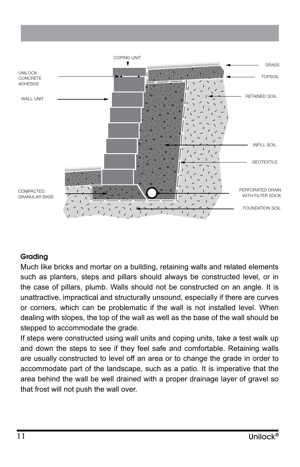

#### Grading

Much like bricks and mortar on a building, retaining walls and related elements such as planters, steps and pillars should always be constructed level, or in the case of pillars, plumb. Walls should not be constructed on an angle. It is unattractive, impractical and structurally unsound, especially if there are curves or corners, which can be problematic if the wall is not installed level. When dealing with slopes, the top of the wall as well as the base of the wall should be stepped to accommodate the grade.

If steps were constructed using wall units and coping units, take a test walk up and down the steps to see if they feel safe and comfortable. Retaining walls are usually constructed to level off an area or to change the grade in order to accommodate part of the landscape, such as a patio. It is imperative that the area behind the wall be well drained with a proper drainage layer of gravel so that frost will not push the wall over.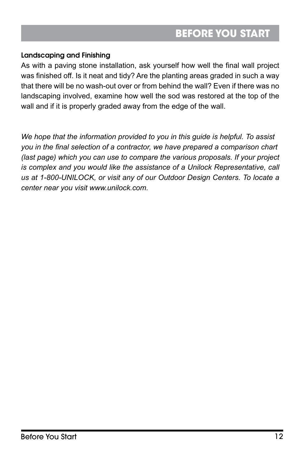#### Landscaping and Finishing

As with a paving stone installation, ask yourself how well the final wall project was finished off. Is it neat and tidy? Are the planting areas graded in such a way that there will be no wash-out over or from behind the wall? Even if there was no landscaping involved, examine how well the sod was restored at the top of the wall and if it is properly graded away from the edge of the wall.

*We hope that the information provided to you in this guide is helpful. To assist you in the final selection of a contractor, we have prepared a comparison chart (last page) which you can use to compare the various proposals. If your project is complex and you would like the assistance of a Unilock Representative, call us at 1-800-UNILOCK, or visit any of our Outdoor Design Centers. To locate a center near you visit www.unilock.com.*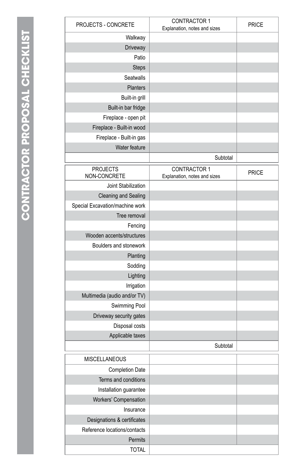| PROJECTS - CONCRETE             | CONTRACTOR 1<br>Explanation, notes and sizes | PRICE        |
|---------------------------------|----------------------------------------------|--------------|
| Walkway                         |                                              |              |
| Driveway                        |                                              |              |
| Patio                           |                                              |              |
| <b>Steps</b>                    |                                              |              |
| Seatwalls                       |                                              |              |
| Planters                        |                                              |              |
| Built-in grill                  |                                              |              |
| Built-in bar fridge             |                                              |              |
| Fireplace - open pit            |                                              |              |
| Fireplace - Built-in wood       |                                              |              |
| Fireplace - Built-in gas        |                                              |              |
| Water feature                   |                                              |              |
|                                 | Subtotal                                     |              |
| <b>PROJECTS</b>                 | <b>CONTRACTOR 1</b>                          |              |
| NON-CONCRETE                    | Explanation, notes and sizes                 | <b>PRICE</b> |
| Joint Stabilization             |                                              |              |
| <b>Cleaning and Sealing</b>     |                                              |              |
| Special Excavation/machine work |                                              |              |
| Tree removal                    |                                              |              |
| Fencing                         |                                              |              |
| Wooden accents/structures       |                                              |              |
| Boulders and stonework          |                                              |              |
| Planting                        |                                              |              |
| Sodding                         |                                              |              |
| Lighting                        |                                              |              |
| Irrigation                      |                                              |              |
| Multimedia (audio and/or TV)    |                                              |              |
| Swimming Pool                   |                                              |              |
| Driveway security gates         |                                              |              |
| Disposal costs                  |                                              |              |
| Applicable taxes                |                                              |              |
|                                 | Subtotal                                     |              |
| MISCELLANEOUS                   |                                              |              |
| <b>Completion Date</b>          |                                              |              |
| Terms and conditions            |                                              |              |
| Installation guarantee          |                                              |              |
| Workers' Compensation           |                                              |              |
| Insurance                       |                                              |              |
| Designations & certificates     |                                              |              |
| Reference locations/contacts    |                                              |              |
| Permits                         |                                              |              |
| <b>TOTAL</b>                    |                                              |              |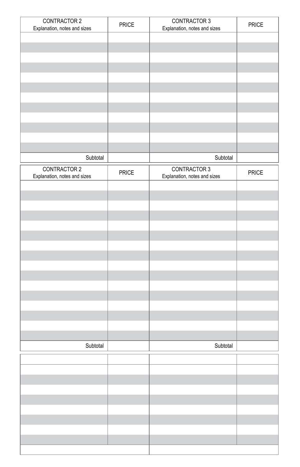| <b>CONTRACTOR 2</b>          | PRICE | <b>CONTRACTOR 3</b>          | PRICE |
|------------------------------|-------|------------------------------|-------|
| Explanation, notes and sizes |       | Explanation, notes and sizes |       |
|                              |       |                              |       |
|                              |       |                              |       |
|                              |       |                              |       |
|                              |       |                              |       |
|                              |       |                              |       |
|                              |       |                              |       |
|                              |       |                              |       |
|                              |       |                              |       |
|                              |       |                              |       |
|                              |       |                              |       |
|                              |       |                              |       |
| Subtotal                     |       | Subtotal                     |       |
| CONTRACTOR 2                 |       | CONTRACTOR 3                 |       |
| Explanation, notes and sizes | PRICE | Explanation, notes and sizes | PRICE |
|                              |       |                              |       |
|                              |       |                              |       |
|                              |       |                              |       |
|                              |       |                              |       |
|                              |       |                              |       |
|                              |       |                              |       |
|                              |       |                              |       |
|                              |       |                              |       |
|                              |       |                              |       |
|                              |       |                              |       |
|                              |       |                              |       |
|                              |       |                              |       |
|                              |       |                              |       |
|                              |       |                              |       |
|                              |       |                              |       |
|                              |       |                              |       |
| Subtotal                     |       | Subtotal                     |       |
|                              |       |                              |       |
|                              |       |                              |       |
|                              |       |                              |       |
|                              |       |                              |       |
|                              |       |                              |       |
|                              |       |                              |       |
|                              |       |                              |       |
|                              |       |                              |       |
|                              |       |                              |       |
|                              |       |                              |       |